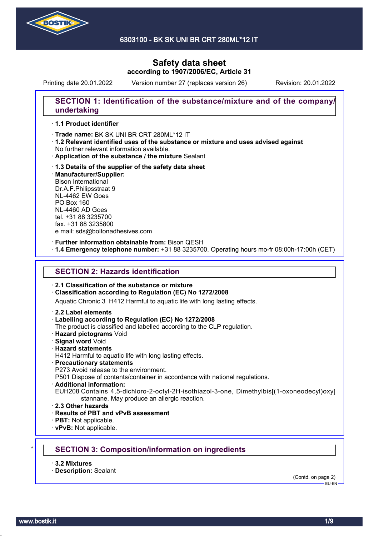

6303100 - BK SK UNI BR CRT 280ML\*12 IT

# **Safety data sheet according to 1907/2006/EC, Article 31**

Printing date 20.01.2022 Version number 27 (replaces version 26) Revision: 20.01.2022

## **SECTION 1: Identification of the substance/mixture and of the company/ undertaking**

### · **1.1 Product identifier**

· Trade name: BK SK UNI BR CRT 280ML\*12 IT

- · **1.2 Relevant identified uses of the substance or mixture and uses advised against** No further relevant information available.
- · **Application of the substance / the mixture** Sealant
- · **1.3 Details of the supplier of the safety data sheet** · **Manufacturer/Supplier:** Bison International Dr.A.F.Philipsstraat 9 NL-4462 EW Goes PO Box 160 NL-4460 AD Goes tel. +31 88 3235700 fax. +31 88 3235800 e mail: sds@boltonadhesives.com

#### · **Further information obtainable from:** Bison QESH

· **1.4 Emergency telephone number:** +31 88 3235700. Operating hours mo-fr 08:00h-17:00h (CET)

### **SECTION 2: Hazards identification**

### · **2.1 Classification of the substance or mixture**

### · **Classification according to Regulation (EC) No 1272/2008**

Aquatic Chronic 3 H412 Harmful to aquatic life with long lasting effects.

#### · **2.2 Label elements**

### · **Labelling according to Regulation (EC) No 1272/2008**

The product is classified and labelled according to the CLP regulation.

- · **Hazard pictograms** Void
- · **Signal word** Void
- · **Hazard statements**
- H412 Harmful to aquatic life with long lasting effects.

### · **Precautionary statements**

P273 Avoid release to the environment.

P501 Dispose of contents/container in accordance with national regulations.

- · **Additional information:**
- EUH208 Contains 4,5-dichloro-2-octyl-2H-isothiazol-3-one, Dimethylbis[(1-oxoneodecyl)oxy] stannane. May produce an allergic reaction.
- · **2.3 Other hazards**
- · **Results of PBT and vPvB assessment**
- · **PBT:** Not applicable.
- · **vPvB:** Not applicable.

# \* **SECTION 3: Composition/information on ingredients**

- · **3.2 Mixtures**
- · **Description:** Sealant

(Contd. on page 2)  $-$ EH-EN-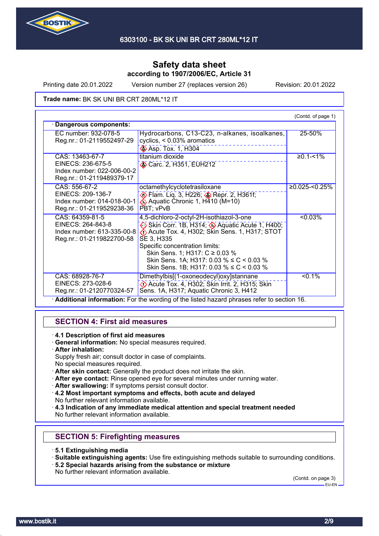

Printing date 20.01.2022 Version number 27 (replaces version 26) Revision: 20.01.2022

Trade name: BK SK UNI BR CRT 280ML\*12 IT

|                                                                                                 |                                                                                                                                                                                                                                                                                                                             | (Contd. of page 1) |
|-------------------------------------------------------------------------------------------------|-----------------------------------------------------------------------------------------------------------------------------------------------------------------------------------------------------------------------------------------------------------------------------------------------------------------------------|--------------------|
| Dangerous components:                                                                           |                                                                                                                                                                                                                                                                                                                             |                    |
| EC number: 932-078-5<br>Reg.nr.: 01-2119552497-29                                               | Hydrocarbons, C13-C23, n-alkanes, isoalkanes,<br>cyclics, $< 0.03\%$ aromatics<br><b>Asp. Tox. 1, H304</b>                                                                                                                                                                                                                  | 25-50%             |
| CAS: 13463-67-7<br>EINECS: 236-675-5<br>Index number: 022-006-00-2<br>Reg.nr.: 01-2119489379-17 | titanium dioxide<br>Carc. 2, H351, EUH212                                                                                                                                                                                                                                                                                   | $≥0.1 - 1%$        |
| CAS: 556-67-2<br>EINECS: 209-136-7<br>Index number: 014-018-00-1<br>Reg.nr.: 01-2119529238-36   | octamethylcyclotetrasiloxane<br><b>Elam.</b> Liq. 3, H226; <b>Bridge Repr. 2, H361f</b> ;<br>Aquatic Chronic 1, $H\overline{4}10$ (M=10)<br>PBT: vPvB                                                                                                                                                                       | $≥0.025 < 0.25\%$  |
| CAS: 64359-81-5<br>EINECS: 264-843-8<br>Index number: 613-335-00-8<br>Reg.nr.: 01-2119822700-58 | 4,5-dichloro-2-octyl-2H-isothiazol-3-one<br>Skin Corr. 1B, H314; Aquatic Acute 1, H400;<br>Acute Tox. 4, H302; Skin Sens. 1, H317; STOT<br>SE 3, H335<br>Specific concentration limits:<br>Skin Sens. 1; H317: C ≥ 0.03 %<br>Skin Sens. 1A; H317: 0.03 % $\leq C$ < 0.03 %<br>Skin Sens. 1B; H317: 0.03 % $\leq C$ < 0.03 % | $< 0.03\%$         |
| CAS: 68928-76-7<br>EINECS: 273-028-6<br>Reg.nr.: 01-2120770324-57                               | Dimethylbis[(1-oxoneodecyl)oxy]stannane<br>$\Diamond$ Acute Tox. 4, H302; Skin Irrit. 2, H315; Skin<br>Sens. 1A, H317; Aquatic Chronic 3, H412                                                                                                                                                                              | $< 0.1\%$          |

· **Additional information:** For the wording of the listed hazard phrases refer to section 16.

## **SECTION 4: First aid measures**

· **4.1 Description of first aid measures**

- · **General information:** No special measures required.
- · **After inhalation:**

Supply fresh air; consult doctor in case of complaints. No special measures required.

- · **After skin contact:** Generally the product does not irritate the skin.
- · **After eye contact:** Rinse opened eye for several minutes under running water.
- After swallowing: If symptoms persist consult doctor.
- · **4.2 Most important symptoms and effects, both acute and delayed** No further relevant information available.
- · **4.3 Indication of any immediate medical attention and special treatment needed** No further relevant information available.

# **SECTION 5: Firefighting measures**

- · **5.1 Extinguishing media**
- · **Suitable extinguishing agents:** Use fire extinguishing methods suitable to surrounding conditions.
- · **5.2 Special hazards arising from the substance or mixture**
- No further relevant information available.

(Contd. on page 3)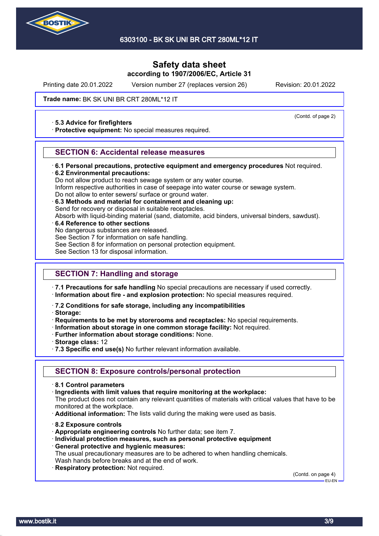

Printing date 20.01.2022 Version number 27 (replaces version 26) Revision: 20.01.2022

(Contd. of page 2)

### Trade name: BK SK UNI BR CRT 280ML\*12 IT

### · **5.3 Advice for firefighters**

· **Protective equipment:** No special measures required.

## **SECTION 6: Accidental release measures**

- · **6.1 Personal precautions, protective equipment and emergency procedures** Not required.
- · **6.2 Environmental precautions:**

Do not allow product to reach sewage system or any water course.

Inform respective authorities in case of seepage into water course or sewage system.

- Do not allow to enter sewers/ surface or ground water.
- · **6.3 Methods and material for containment and cleaning up:**

Send for recovery or disposal in suitable receptacles.

Absorb with liquid-binding material (sand, diatomite, acid binders, universal binders, sawdust).

- · **6.4 Reference to other sections**
- No dangerous substances are released.

See Section 7 for information on safe handling.

- See Section 8 for information on personal protection equipment.
- See Section 13 for disposal information.

## **SECTION 7: Handling and storage**

· **7.1 Precautions for safe handling** No special precautions are necessary if used correctly.

- · **Information about fire and explosion protection:** No special measures required.
- · **7.2 Conditions for safe storage, including any incompatibilities**
- · **Storage:**
- · **Requirements to be met by storerooms and receptacles:** No special requirements.
- · **Information about storage in one common storage facility:** Not required.
- · **Further information about storage conditions:** None.
- · **Storage class:** 12
- · **7.3 Specific end use(s)** No further relevant information available.

## **SECTION 8: Exposure controls/personal protection**

- · **8.1 Control parameters**
- · **Ingredients with limit values that require monitoring at the workplace:**

The product does not contain any relevant quantities of materials with critical values that have to be monitored at the workplace.

- · **Additional information:** The lists valid during the making were used as basis.
- · **8.2 Exposure controls**
- · **Appropriate engineering controls** No further data; see item 7.
- · **Individual protection measures, such as personal protective equipment**
- · **General protective and hygienic measures:**

The usual precautionary measures are to be adhered to when handling chemicals. Wash hands before breaks and at the end of work.

· **Respiratory protection:** Not required.

(Contd. on page 4) EU-EN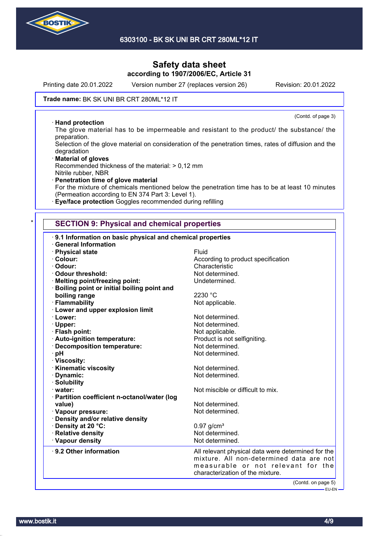

Printing date 20.01.2022 Version number 27 (replaces version 26) Revision: 20.01.2022

(Contd. of page 3)

### Trade name: BK SK UNI BR CRT 280ML\*12 IT

### · **Hand protection**

The glove material has to be impermeable and resistant to the product/ the substance/ the preparation.

Selection of the glove material on consideration of the penetration times, rates of diffusion and the degradation

· **Material of gloves** Recommended thickness of the material: > 0,12 mm Nitrile rubber, NBR

· **Penetration time of glove material** For the mixture of chemicals mentioned below the penetration time has to be at least 10 minutes (Permeation according to EN 374 Part 3: Level 1).

· **Eye/face protection** Goggles recommended during refilling

## **SECTION 9: Physical and chemical properties**

| 9.1 Information on basic physical and chemical properties                       |                                                                                                                                                                          |
|---------------------------------------------------------------------------------|--------------------------------------------------------------------------------------------------------------------------------------------------------------------------|
| <b>General Information</b>                                                      | Fluid                                                                                                                                                                    |
| · Physical state<br>· Colour:                                                   | According to product specification                                                                                                                                       |
| · Odour:                                                                        | Characteristic                                                                                                                                                           |
| · Odour threshold:                                                              | Not determined.                                                                                                                                                          |
|                                                                                 | Undetermined.                                                                                                                                                            |
| · Melting point/freezing point:<br>· Boiling point or initial boiling point and |                                                                                                                                                                          |
| boiling range                                                                   | 2230 °C                                                                                                                                                                  |
| · Flammability                                                                  |                                                                                                                                                                          |
| <b>Lower and upper explosion limit</b>                                          | Not applicable.                                                                                                                                                          |
| · Lower:                                                                        | Not determined.                                                                                                                                                          |
|                                                                                 | Not determined.                                                                                                                                                          |
| · Upper:<br>· Flash point:                                                      | Not applicable.                                                                                                                                                          |
|                                                                                 |                                                                                                                                                                          |
| · Auto-ignition temperature:                                                    | Product is not selfigniting.<br>Not determined.                                                                                                                          |
| · Decomposition temperature:                                                    |                                                                                                                                                                          |
| · pH                                                                            | Not determined.                                                                                                                                                          |
| · Viscosity:                                                                    | Not determined.                                                                                                                                                          |
| <b>Kinematic viscosity</b>                                                      | Not determined.                                                                                                                                                          |
| · Dynamic:<br>· Solubility                                                      |                                                                                                                                                                          |
|                                                                                 | Not miscible or difficult to mix.                                                                                                                                        |
| water:                                                                          |                                                                                                                                                                          |
| · Partition coefficient n-octanol/water (log                                    | Not determined.                                                                                                                                                          |
| value)                                                                          | Not determined.                                                                                                                                                          |
| · Vapour pressure:                                                              |                                                                                                                                                                          |
| · Density and/or relative density                                               |                                                                                                                                                                          |
| · Density at 20 °C:<br>· Relative density                                       | $0.97$ g/cm <sup>3</sup><br>Not determined.                                                                                                                              |
|                                                                                 | Not determined.                                                                                                                                                          |
| · Vapour density                                                                |                                                                                                                                                                          |
| ⋅ 9.2 Other information                                                         | All relevant physical data were determined for the<br>mixture. All non-determined data are not<br>measurable or not relevant for the<br>characterization of the mixture. |
|                                                                                 | (Contd. on page 5)                                                                                                                                                       |
|                                                                                 | - EU-EN ·                                                                                                                                                                |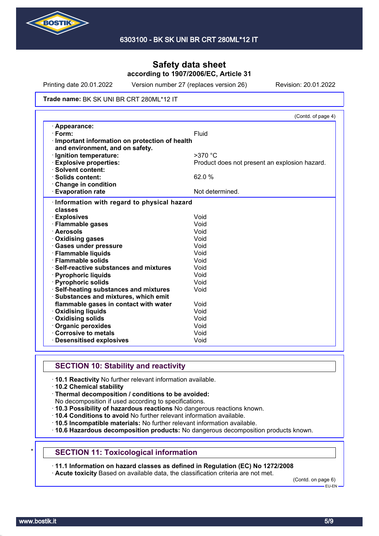

Printing date 20.01.2022 Version number 27 (replaces version 26) Revision: 20.01.2022

#### Trade name: BK SK UNI BR CRT 280ML\*12 IT

|                                                                                  | (Contd. of page 4)                            |
|----------------------------------------------------------------------------------|-----------------------------------------------|
| · Appearance:                                                                    |                                               |
| $\cdot$ Form:                                                                    | Fluid                                         |
| Important information on protection of health<br>and environment, and on safety. |                                               |
| · Ignition temperature:                                                          | $>370$ °C                                     |
| <b>Explosive properties:</b>                                                     | Product does not present an explosion hazard. |
| · Solvent content:                                                               |                                               |
| · Solids content:                                                                | 62.0 %                                        |
| Change in condition                                                              |                                               |
| <b>Evaporation rate</b>                                                          | Not determined.                               |
| Information with regard to physical hazard                                       |                                               |
| classes                                                                          |                                               |
| · Explosives                                                                     | Void                                          |
| · Flammable gases                                                                | Void                                          |
| · Aerosols                                                                       | Void                                          |
| · Oxidising gases                                                                | Void                                          |
| · Gases under pressure                                                           | Void                                          |
| · Flammable liquids                                                              | Void                                          |
| · Flammable solids                                                               | Void                                          |
| · Self-reactive substances and mixtures                                          | Void                                          |
| · Pyrophoric liquids                                                             | Void                                          |
| · Pyrophoric solids                                                              | Void                                          |
| · Self-heating substances and mixtures                                           | Void                                          |
| · Substances and mixtures, which emit                                            |                                               |
| flammable gases in contact with water                                            | Void                                          |
| <b>Oxidising liquids</b>                                                         | Void                                          |
| · Oxidising solids                                                               | Void                                          |
| · Organic peroxides                                                              | Void                                          |
| Corrosive to metals                                                              | Void                                          |
| <b>Desensitised explosives</b>                                                   | Void                                          |

## **SECTION 10: Stability and reactivity**

- · **10.1 Reactivity** No further relevant information available.
- · **10.2 Chemical stability**
- · **Thermal decomposition / conditions to be avoided:**
- No decomposition if used according to specifications.
- · **10.3 Possibility of hazardous reactions** No dangerous reactions known.
- · **10.4 Conditions to avoid** No further relevant information available.
- · **10.5 Incompatible materials:** No further relevant information available.
- · **10.6 Hazardous decomposition products:** No dangerous decomposition products known.

### **SECTION 11: Toxicological information**

· **11.1 Information on hazard classes as defined in Regulation (EC) No 1272/2008**

· **Acute toxicity** Based on available data, the classification criteria are not met.

(Contd. on page 6) EU-EN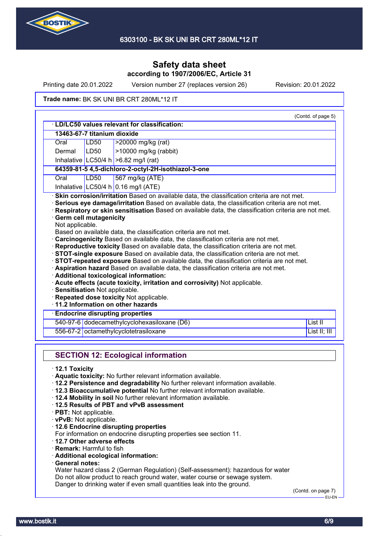

Printing date 20.01.2022 Version number 27 (replaces version 26) Revision: 20.01.2022

### Trade name: BK SK UNI BR CRT 280ML\*12 IT

|                                                    | 13463-67-7 titanium dioxide |                                                                                                                                                                                                                                                                                                                                                                                                                                                                                                                                                                                                                                                                                                                                                                                          |              |
|----------------------------------------------------|-----------------------------|------------------------------------------------------------------------------------------------------------------------------------------------------------------------------------------------------------------------------------------------------------------------------------------------------------------------------------------------------------------------------------------------------------------------------------------------------------------------------------------------------------------------------------------------------------------------------------------------------------------------------------------------------------------------------------------------------------------------------------------------------------------------------------------|--------------|
| Oral                                               | LD50                        | >20000 mg/kg (rat)                                                                                                                                                                                                                                                                                                                                                                                                                                                                                                                                                                                                                                                                                                                                                                       |              |
| Dermal                                             | <b>LD50</b>                 | >10000 mg/kg (rabbit)                                                                                                                                                                                                                                                                                                                                                                                                                                                                                                                                                                                                                                                                                                                                                                    |              |
|                                                    |                             | Inhalative LC50/4 h $>6.82$ mg/l (rat)                                                                                                                                                                                                                                                                                                                                                                                                                                                                                                                                                                                                                                                                                                                                                   |              |
|                                                    |                             | 64359-81-5 4,5-dichloro-2-octyl-2H-isothiazol-3-one                                                                                                                                                                                                                                                                                                                                                                                                                                                                                                                                                                                                                                                                                                                                      |              |
| Oral                                               | <b>LD50</b>                 | 567 mg/kg (ATE)                                                                                                                                                                                                                                                                                                                                                                                                                                                                                                                                                                                                                                                                                                                                                                          |              |
|                                                    |                             | Inhalative LC50/4 h 0.16 mg/l (ATE)                                                                                                                                                                                                                                                                                                                                                                                                                                                                                                                                                                                                                                                                                                                                                      |              |
| Not applicable.<br>· Sensitisation Not applicable. |                             | Based on available data, the classification criteria are not met.<br>Carcinogenicity Based on available data, the classification criteria are not met.<br>· Reproductive toxicity Based on available data, the classification criteria are not met.<br>· STOT-single exposure Based on available data, the classification criteria are not met.<br>STOT-repeated exposure Based on available data, the classification criteria are not met.<br>Aspiration hazard Based on available data, the classification criteria are not met.<br>· Additional toxicological information:<br>· Acute effects (acute toxicity, irritation and corrosivity) Not applicable.<br>· Repeated dose toxicity Not applicable.<br>11.2 Information on other hazards<br><b>Endocrine disrupting properties</b> |              |
|                                                    |                             | 540-97-6 dodecamethylcyclohexasiloxane (D6)                                                                                                                                                                                                                                                                                                                                                                                                                                                                                                                                                                                                                                                                                                                                              | List II      |
|                                                    |                             | 556-67-2 octamethylcyclotetrasiloxane                                                                                                                                                                                                                                                                                                                                                                                                                                                                                                                                                                                                                                                                                                                                                    | List II; III |
|                                                    |                             |                                                                                                                                                                                                                                                                                                                                                                                                                                                                                                                                                                                                                                                                                                                                                                                          |              |

- · **12.2 Persistence and degradability** No further relevant information available.
- · **12.3 Bioaccumulative potential** No further relevant information available.
- · **12.4 Mobility in soil** No further relevant information available.
- · **12.5 Results of PBT and vPvB assessment**
- · **PBT:** Not applicable.
- · **vPvB:** Not applicable.
- · **12.6 Endocrine disrupting properties**
- For information on endocrine disrupting properties see section 11.
- · **12.7 Other adverse effects**
- · **Remark:** Harmful to fish
- · **Additional ecological information:**
- · **General notes:**

Water hazard class 2 (German Regulation) (Self-assessment): hazardous for water Do not allow product to reach ground water, water course or sewage system. Danger to drinking water if even small quantities leak into the ground.

(Contd. on page 7) –<br>EU-EN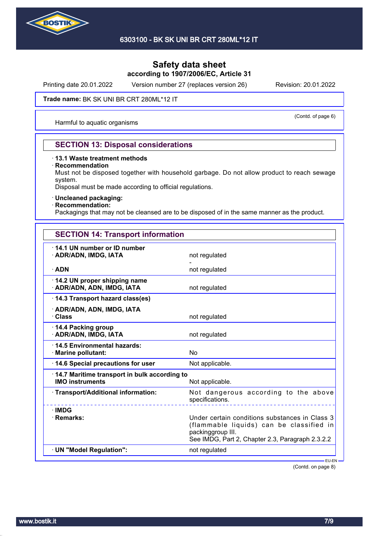

Printing date 20.01.2022 Version number 27 (replaces version 26) Revision: 20.01.2022

### Trade name: BK SK UNI BR CRT 280ML\*12 IT

Harmful to aquatic organisms

(Contd. of page 6)

## **SECTION 13: Disposal considerations**

### · **13.1 Waste treatment methods**

#### · **Recommendation**

Must not be disposed together with household garbage. Do not allow product to reach sewage system.

Disposal must be made according to official regulations.

### · **Uncleaned packaging:**

## · **Recommendation:**

Packagings that may not be cleansed are to be disposed of in the same manner as the product.

| <b>SECTION 14: Transport information</b>                                 |                                                                                                                                                                     |
|--------------------------------------------------------------------------|---------------------------------------------------------------------------------------------------------------------------------------------------------------------|
| 14.1 UN number or ID number<br>· ADR/ADN, IMDG, IATA                     | not regulated                                                                                                                                                       |
| $\cdot$ ADN                                                              | not regulated                                                                                                                                                       |
| 14.2 UN proper shipping name<br>· ADR/ADN, ADN, IMDG, IATA               | not regulated                                                                                                                                                       |
| 14.3 Transport hazard class(es)                                          |                                                                                                                                                                     |
| · ADR/ADN, ADN, IMDG, IATA<br>· Class                                    | not regulated                                                                                                                                                       |
| 14.4 Packing group<br>· ADR/ADN, IMDG, IATA                              | not regulated                                                                                                                                                       |
| ⋅14.5 Environmental hazards:<br>· Marine pollutant:                      | No                                                                                                                                                                  |
| 14.6 Special precautions for user                                        | Not applicable.                                                                                                                                                     |
| · 14.7 Maritime transport in bulk according to<br><b>IMO instruments</b> | Not applicable.                                                                                                                                                     |
| · Transport/Additional information:                                      | Not dangerous according to the above<br>specifications.                                                                                                             |
| · IMDG<br>$\cdot$ Remarks:                                               | Under certain conditions substances in Class 3<br>(flammable liquids) can be classified in<br>packinggroup III.<br>See IMDG, Part 2, Chapter 2.3, Paragraph 2.3.2.2 |
| · UN "Model Requiation":                                                 | not regulated                                                                                                                                                       |

(Contd. on page 8)

EU-EN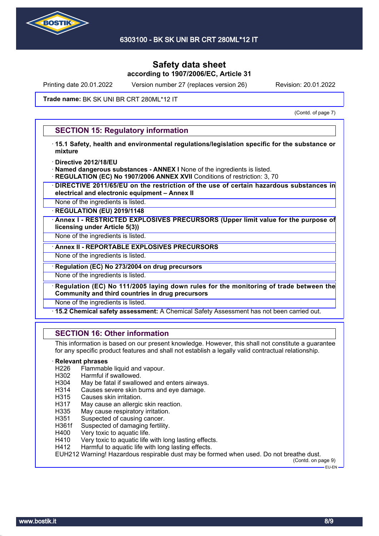

Printing date 20.01.2022 Version number 27 (replaces version 26) Revision: 20.01.2022

### Trade name: BK SK UNI BR CRT 280ML\*12 IT

(Contd. of page 7)

## **SECTION 15: Regulatory information**

- · **15.1 Safety, health and environmental regulations/legislation specific for the substance or mixture**
- · **Directive 2012/18/EU**
- · **Named dangerous substances ANNEX I** None of the ingredients is listed.
- **REGULATION (EC) No 1907/2006 ANNEX XVII** Conditions of restriction: 3, 70
- · **DIRECTIVE 2011/65/EU on the restriction of the use of certain hazardous substances in electrical and electronic equipment – Annex II**
- None of the ingredients is listed.

· **REGULATION (EU) 2019/1148**

· **Annex I - RESTRICTED EXPLOSIVES PRECURSORS (Upper limit value for the purpose of licensing under Article 5(3))**

None of the ingredients is listed.

· **Annex II - REPORTABLE EXPLOSIVES PRECURSORS**

None of the ingredients is listed.

· **Regulation (EC) No 273/2004 on drug precursors**

None of the ingredients is listed.

· **Regulation (EC) No 111/2005 laying down rules for the monitoring of trade between the Community and third countries in drug precursors**

None of the ingredients is listed.

· **15.2 Chemical safety assessment:** A Chemical Safety Assessment has not been carried out.

## **SECTION 16: Other information**

This information is based on our present knowledge. However, this shall not constitute a guarantee for any specific product features and shall not establish a legally valid contractual relationship.

### · **Relevant phrases**

- H226 Flammable liquid and vapour.
- H302 Harmful if swallowed.
- H304 May be fatal if swallowed and enters airways.
- H314 Causes severe skin burns and eye damage.
- H315 Causes skin irritation.
- H317 May cause an allergic skin reaction.
- H335 May cause respiratory irritation.
- H351 Suspected of causing cancer.
- H361f Suspected of damaging fertility.
- H400 Very toxic to aquatic life.
- H410 Very toxic to aquatic life with long lasting effects.
- H412 Harmful to aquatic life with long lasting effects.

EUH212 Warning! Hazardous respirable dust may be formed when used. Do not breathe dust.

(Contd. on page 9) EU-EN